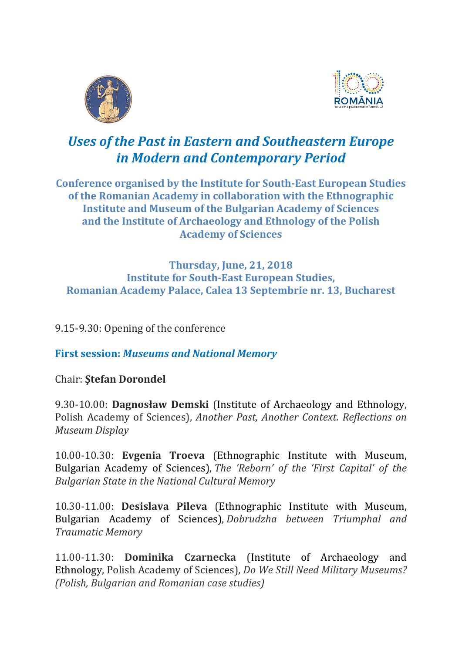



## *Uses of the Past in Eastern and Southeastern Europe in Modern and Contemporary Period*

**Conference organised by the Institute for South‐East European Studies of the Romanian Academy in collaboration with the Ethnographic Institute and Museum of the Bulgarian Academy of Sciences and the Institute of Archaeology and Ethnology of the Polish Academy of Sciences**

## **Thursday, June, 21, 2018 Institute for South‐East European Studies, Romanian Academy Palace, Calea 13 Septembrie nr. 13, Bucharest**

9.15-9.30: Opening of the conference

**First session:** *Museums and National Memory*

Chair: **Ştefan Dorondel**

9.30‐10.00: **Dagnosław Demski** (Institute of Archaeology and Ethnology, Polish Academy of Sciences), *Another Past, Another Context. Reflections on Museum Display*

10.00‐10.30: **Evgenia Troeva** (Ethnographic Institute with Museum, Bulgarian Academy of Sciences), *The 'Reborn' of the 'First Capital' of the Bulgarian State in the National Cultural Memory*

10.30‐11.00: **Desislava Pileva** (Ethnographic Institute with Museum, Bulgarian Academy of Sciences), *Dobrudzha between Triumphal and Traumatic Memory*

11.00‐11.30: **Dominika Czarnecka** (Institute of Archaeology and Ethnology, Polish Academy of Sciences), *Do We Still Need Military Museums? (Polish, Bulgarian and Romanian case studies)*